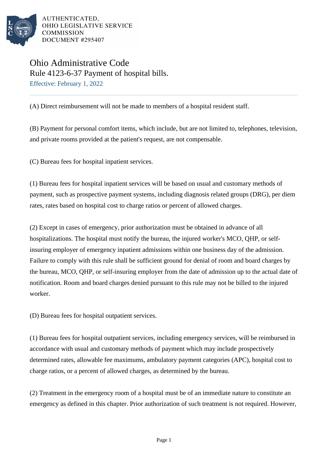

AUTHENTICATED. OHIO LEGISLATIVE SERVICE **COMMISSION** DOCUMENT #295407

## Ohio Administrative Code Rule 4123-6-37 Payment of hospital bills. Effective: February 1, 2022

(A) Direct reimbursement will not be made to members of a hospital resident staff.

(B) Payment for personal comfort items, which include, but are not limited to, telephones, television, and private rooms provided at the patient's request, are not compensable.

(C) Bureau fees for hospital inpatient services.

(1) Bureau fees for hospital inpatient services will be based on usual and customary methods of payment, such as prospective payment systems, including diagnosis related groups (DRG), per diem rates, rates based on hospital cost to charge ratios or percent of allowed charges.

(2) Except in cases of emergency, prior authorization must be obtained in advance of all hospitalizations. The hospital must notify the bureau, the injured worker's MCO, QHP, or selfinsuring employer of emergency inpatient admissions within one business day of the admission. Failure to comply with this rule shall be sufficient ground for denial of room and board charges by the bureau, MCO, QHP, or self-insuring employer from the date of admission up to the actual date of notification. Room and board charges denied pursuant to this rule may not be billed to the injured worker.

(D) Bureau fees for hospital outpatient services.

(1) Bureau fees for hospital outpatient services, including emergency services, will be reimbursed in accordance with usual and customary methods of payment which may include prospectively determined rates, allowable fee maximums, ambulatory payment categories (APC), hospital cost to charge ratios, or a percent of allowed charges, as determined by the bureau.

(2) Treatment in the emergency room of a hospital must be of an immediate nature to constitute an emergency as defined in this chapter. Prior authorization of such treatment is not required. However,